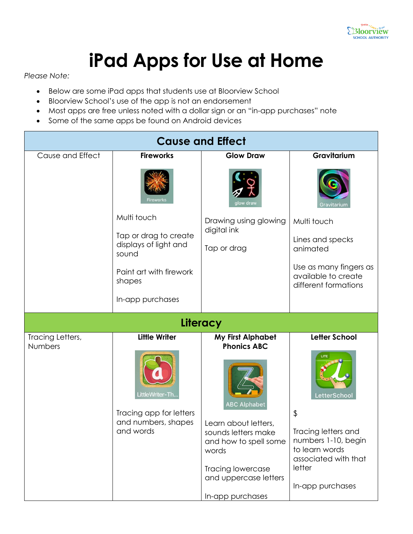

## **iPad Apps for Use at Home**

*Please Note:*

- Below are some iPad apps that students use at Bloorview School
- Bloorview School's use of the app is not an endorsement
- Most apps are free unless noted with a dollar sign or an "in-app purchases" note
- Some of the same apps be found on Android devices

| <b>Cause and Effect</b>            |                                                                                |                                                                                                                                                           |                                                                                                                      |  |
|------------------------------------|--------------------------------------------------------------------------------|-----------------------------------------------------------------------------------------------------------------------------------------------------------|----------------------------------------------------------------------------------------------------------------------|--|
| Cause and Effect                   | <b>Fireworks</b>                                                               | <b>Glow Draw</b>                                                                                                                                          | Gravitarium                                                                                                          |  |
|                                    | Firework:                                                                      | glow draw                                                                                                                                                 | Gravitarium                                                                                                          |  |
|                                    | Multi touch                                                                    | Drawing using glowing<br>digital ink                                                                                                                      | Multi touch                                                                                                          |  |
|                                    | Tap or drag to create<br>displays of light and<br>sound                        | Tap or drag                                                                                                                                               | Lines and specks<br>animated                                                                                         |  |
|                                    | Paint art with firework<br>shapes                                              |                                                                                                                                                           | Use as many fingers as<br>available to create<br>different formations                                                |  |
|                                    | In-app purchases                                                               |                                                                                                                                                           |                                                                                                                      |  |
|                                    |                                                                                | Literacy                                                                                                                                                  |                                                                                                                      |  |
| Tracing Letters,<br><b>Numbers</b> | <b>Little Writer</b>                                                           | <b>My First Alphabet</b><br><b>Phonics ABC</b>                                                                                                            | <b>Letter School</b>                                                                                                 |  |
|                                    | LittleWriter-Th<br>Tracing app for letters<br>and numbers, shapes<br>and words | <b>ABC Alphabet</b><br>Learn about letters,<br>sounds letters make<br>and how to spell some<br>words<br><b>Tracing lowercase</b><br>and uppercase letters | LetterSchool<br>\$<br>Tracing letters and<br>numbers 1-10, begin<br>to learn words<br>associated with that<br>letter |  |
|                                    |                                                                                | In-app purchases                                                                                                                                          | In-app purchases                                                                                                     |  |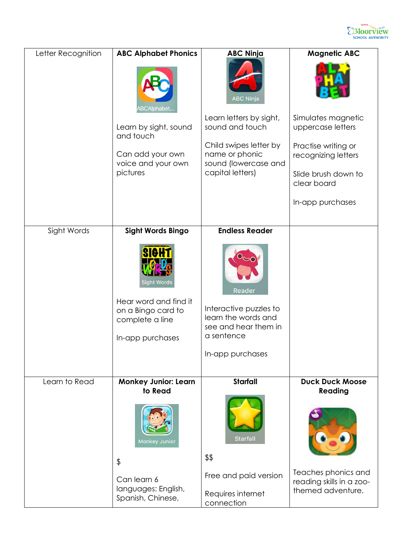

| Letter Recognition | <b>ABC Alphabet Phonics</b><br>BCAlphabet                      | <b>ABC Ninja</b><br><b>ABC Ninja</b>                                  | <b>Magnetic ABC</b>                                                  |
|--------------------|----------------------------------------------------------------|-----------------------------------------------------------------------|----------------------------------------------------------------------|
|                    | Learn by sight, sound<br>and touch                             | Learn letters by sight,<br>sound and touch                            | Simulates magnetic<br>uppercase letters                              |
|                    | Can add your own<br>voice and your own                         | Child swipes letter by<br>name or phonic<br>sound (lowercase and      | Practise writing or<br>recognizing letters                           |
|                    | pictures                                                       | capital letters)                                                      | Slide brush down to<br>clear board                                   |
|                    |                                                                |                                                                       | In-app purchases                                                     |
| Sight Words        | Sight Words Bingo                                              | <b>Endless Reader</b>                                                 |                                                                      |
|                    | <b>Sight Words</b>                                             | Reader                                                                |                                                                      |
|                    | Hear word and find it<br>on a Bingo card to<br>complete a line | Interactive puzzles to<br>learn the words and<br>see and hear them in |                                                                      |
|                    | In-app purchases                                               | a sentence                                                            |                                                                      |
|                    |                                                                | In-app purchases                                                      |                                                                      |
| Learn to Read      | <b>Monkey Junior: Learn</b><br>to Read                         | <b>Starfall</b>                                                       | <b>Duck Duck Moose</b><br>Reading                                    |
|                    | Monkey Junior<br>\$                                            | Starfall<br>\$\$                                                      |                                                                      |
|                    | Can learn 6<br>languages: English,<br>Spanish, Chinese,        | Free and paid version<br>Requires internet<br>connection              | Teaches phonics and<br>reading skills in a zoo-<br>themed adventure. |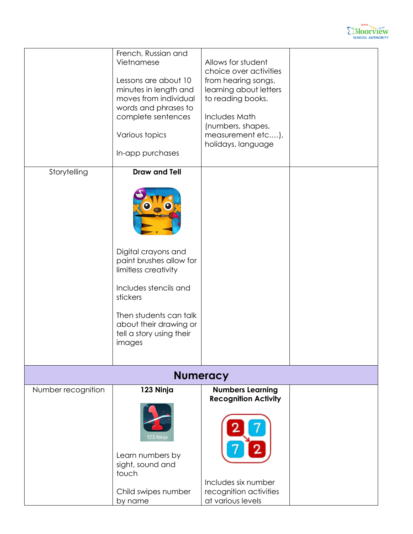

|                    | French, Russian and<br>Vietnamese<br>Lessons are about 10<br>minutes in length and<br>moves from individual<br>words and phrases to<br>complete sentences<br>Various topics<br>In-app purchases                               | Allows for student<br>choice over activities<br>from hearing songs,<br>learning about letters<br>to reading books.<br>Includes Math<br>(numbers, shapes,<br>measurement etc),<br>holidays, language |  |  |
|--------------------|-------------------------------------------------------------------------------------------------------------------------------------------------------------------------------------------------------------------------------|-----------------------------------------------------------------------------------------------------------------------------------------------------------------------------------------------------|--|--|
| Storytelling       | <b>Draw and Tell</b><br>Digital crayons and<br>paint brushes allow for<br>limitless creativity<br>Includes stencils and<br>stickers<br>Then students can talk<br>about their drawing or<br>tell a story using their<br>images |                                                                                                                                                                                                     |  |  |
| <b>Numeracy</b>    |                                                                                                                                                                                                                               |                                                                                                                                                                                                     |  |  |
| Number recognition | 123 Ninja<br>123 Ninja<br>Learn numbers by<br>sight, sound and<br>touch<br>Child swipes number<br>by name                                                                                                                     | <b>Numbers Learning</b><br><b>Recognition Activity</b><br>Includes six number<br>recognition activities<br>at various levels                                                                        |  |  |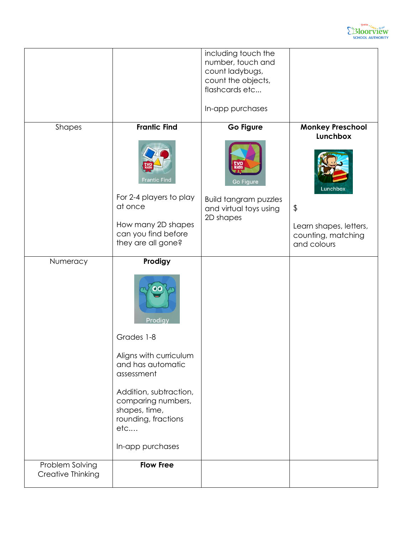

|                                      |                                                                                                                                                                                                                  | including touch the<br>number, touch and<br>count ladybugs,<br>count the objects,<br>flashcards etc<br>In-app purchases |                                                                                           |
|--------------------------------------|------------------------------------------------------------------------------------------------------------------------------------------------------------------------------------------------------------------|-------------------------------------------------------------------------------------------------------------------------|-------------------------------------------------------------------------------------------|
| Shapes                               | <b>Frantic Find</b>                                                                                                                                                                                              | Go Figure                                                                                                               | <b>Monkey Preschool</b>                                                                   |
|                                      | <b>Frantic Find</b><br>For 2-4 players to play<br>at once<br>How many 2D shapes<br>can you find before<br>they are all gone?                                                                                     | Go Figure<br><b>Build tangram puzzles</b><br>and virtual toys using<br>2D shapes                                        | Lunchbox<br>Lunchbox<br>\$<br>Learn shapes, letters,<br>counting, matching<br>and colours |
| Numeracy                             | Prodigy<br>Prodigy<br>Grades 1-8<br>Aligns with curriculum<br>and has automatic<br>assessment<br>Addition, subtraction,<br>comparing numbers,<br>shapes, time,<br>rounding, fractions<br>etc<br>In-app purchases |                                                                                                                         |                                                                                           |
| Problem Solving<br>Creative Thinking | <b>Flow Free</b>                                                                                                                                                                                                 |                                                                                                                         |                                                                                           |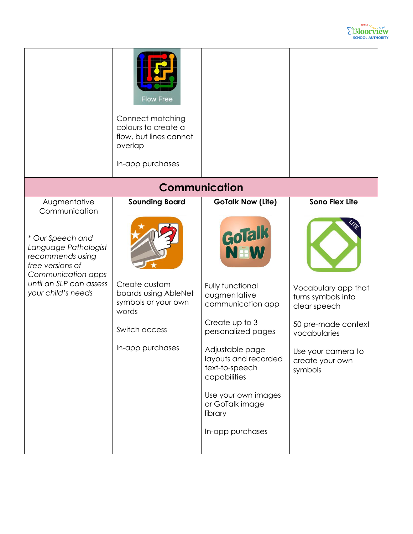

|                                                                                                                                                                                          | <b>Flow Free</b><br>Connect matching<br>colours to create a<br>flow, but lines cannot<br>overlap<br>In-app purchases                |                                                                                                                                                                                                                                                                                                  |                                                                                                                                                                               |  |
|------------------------------------------------------------------------------------------------------------------------------------------------------------------------------------------|-------------------------------------------------------------------------------------------------------------------------------------|--------------------------------------------------------------------------------------------------------------------------------------------------------------------------------------------------------------------------------------------------------------------------------------------------|-------------------------------------------------------------------------------------------------------------------------------------------------------------------------------|--|
| <b>Communication</b>                                                                                                                                                                     |                                                                                                                                     |                                                                                                                                                                                                                                                                                                  |                                                                                                                                                                               |  |
| Augmentative<br>Communication<br>* Our Speech and<br>Language Pathologist<br>recommends using<br>free versions of<br>Communication apps<br>until an SLP can assess<br>your child's needs | <b>Sounding Board</b><br>Create custom<br>boards using AbleNet<br>symbols or your own<br>words<br>Switch access<br>In-app purchases | <b>GoTalk Now (Lite)</b><br>GoTalk<br>N=W<br>Fully functional<br>augmentative<br>communication app<br>Create up to 3<br>personalized pages<br>Adjustable page<br>layouts and recorded<br>text-to-speech<br>capabilities<br>Use your own images<br>or GoTalk image<br>library<br>In-app purchases | <b>Sono Flex Lite</b><br>Vocabulary app that<br>turns symbols into<br>clear speech<br>50 pre-made context<br>vocabularies<br>Use your camera to<br>create your own<br>symbols |  |